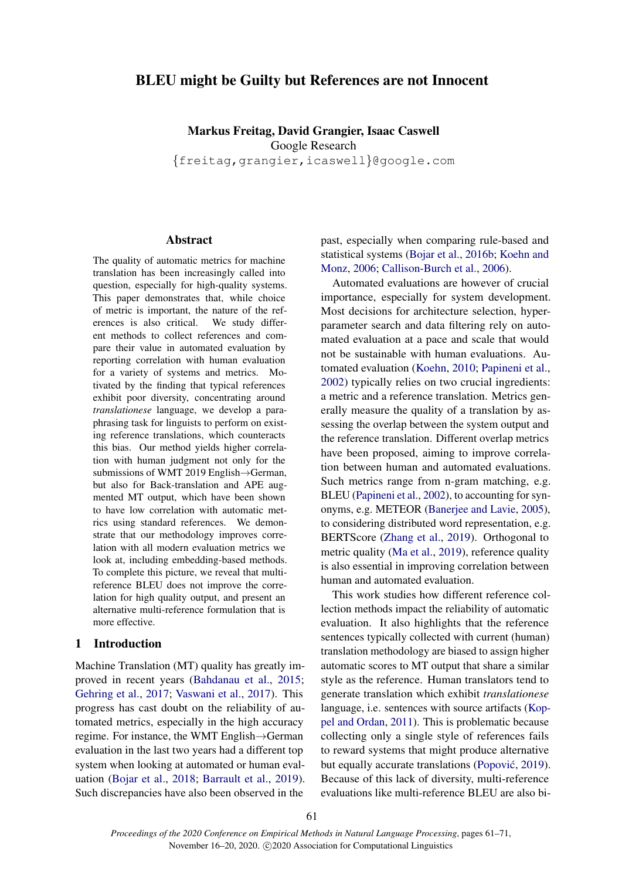# BLEU might be Guilty but References are not Innocent

Markus Freitag, David Grangier, Isaac Caswell Google Research {freitag,grangier,icaswell}@google.com

### Abstract

The quality of automatic metrics for machine translation has been increasingly called into question, especially for high-quality systems. This paper demonstrates that, while choice of metric is important, the nature of the references is also critical. We study different methods to collect references and compare their value in automated evaluation by reporting correlation with human evaluation for a variety of systems and metrics. Motivated by the finding that typical references exhibit poor diversity, concentrating around *translationese* language, we develop a paraphrasing task for linguists to perform on existing reference translations, which counteracts this bias. Our method yields higher correlation with human judgment not only for the submissions of WMT 2019 English→German, but also for Back-translation and APE augmented MT output, which have been shown to have low correlation with automatic metrics using standard references. We demonstrate that our methodology improves correlation with all modern evaluation metrics we look at, including embedding-based methods. To complete this picture, we reveal that multireference BLEU does not improve the correlation for high quality output, and present an alternative multi-reference formulation that is more effective.

# 1 Introduction

Machine Translation (MT) quality has greatly improved in recent years [\(Bahdanau et al.,](#page-8-0) [2015;](#page-8-0) [Gehring et al.,](#page-9-0) [2017;](#page-9-0) [Vaswani et al.,](#page-10-0) [2017\)](#page-10-0). This progress has cast doubt on the reliability of automated metrics, especially in the high accuracy regime. For instance, the WMT English→German evaluation in the last two years had a different top system when looking at automated or human evaluation [\(Bojar et al.,](#page-8-1) [2018;](#page-8-1) [Barrault et al.,](#page-8-2) [2019\)](#page-8-2). Such discrepancies have also been observed in the

past, especially when comparing rule-based and statistical systems [\(Bojar et al.,](#page-8-3) [2016b;](#page-8-3) [Koehn and](#page-9-1) [Monz,](#page-9-1) [2006;](#page-9-1) [Callison-Burch et al.,](#page-8-4) [2006\)](#page-8-4).

Automated evaluations are however of crucial importance, especially for system development. Most decisions for architecture selection, hyperparameter search and data filtering rely on automated evaluation at a pace and scale that would not be sustainable with human evaluations. Automated evaluation [\(Koehn,](#page-9-2) [2010;](#page-9-2) [Papineni et al.,](#page-10-1) [2002\)](#page-10-1) typically relies on two crucial ingredients: a metric and a reference translation. Metrics generally measure the quality of a translation by assessing the overlap between the system output and the reference translation. Different overlap metrics have been proposed, aiming to improve correlation between human and automated evaluations. Such metrics range from n-gram matching, e.g. BLEU [\(Papineni et al.,](#page-10-1) [2002\)](#page-10-1), to accounting for synonyms, e.g. METEOR [\(Banerjee and Lavie,](#page-8-5) [2005\)](#page-8-5), to considering distributed word representation, e.g. BERTScore [\(Zhang et al.,](#page-10-2) [2019\)](#page-10-2). Orthogonal to metric quality [\(Ma et al.,](#page-9-3) [2019\)](#page-9-3), reference quality is also essential in improving correlation between human and automated evaluation.

This work studies how different reference collection methods impact the reliability of automatic evaluation. It also highlights that the reference sentences typically collected with current (human) translation methodology are biased to assign higher automatic scores to MT output that share a similar style as the reference. Human translators tend to generate translation which exhibit *translationese* language, i.e. sentences with source artifacts [\(Kop](#page-9-4)[pel and Ordan,](#page-9-4) [2011\)](#page-9-4). This is problematic because collecting only a single style of references fails to reward systems that might produce alternative but equally accurate translations (Popović, [2019\)](#page-10-3). Because of this lack of diversity, multi-reference evaluations like multi-reference BLEU are also bi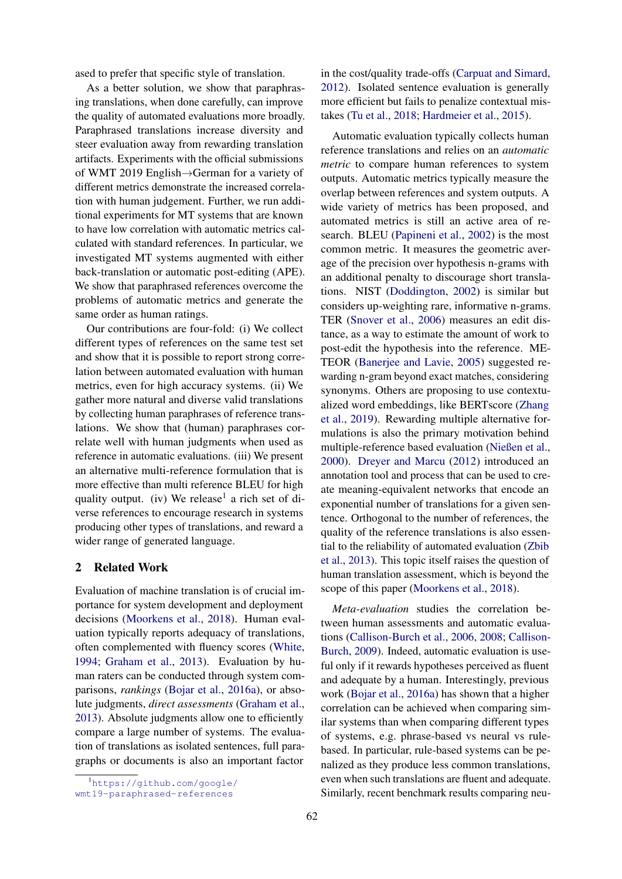ased to prefer that specific style of translation.

As a better solution, we show that paraphrasing translations, when done carefully, can improve the quality of automated evaluations more broadly. Paraphrased translations increase diversity and steer evaluation away from rewarding translation artifacts. Experiments with the official submissions of WMT 2019 English→German for a variety of different metrics demonstrate the increased correlation with human judgement. Further, we run additional experiments for MT systems that are known to have low correlation with automatic metrics calculated with standard references. In particular, we investigated MT systems augmented with either back-translation or automatic post-editing (APE). We show that paraphrased references overcome the problems of automatic metrics and generate the same order as human ratings.

Our contributions are four-fold: (i) We collect different types of references on the same test set and show that it is possible to report strong correlation between automated evaluation with human metrics, even for high accuracy systems. (ii) We gather more natural and diverse valid translations by collecting human paraphrases of reference translations. We show that (human) paraphrases correlate well with human judgments when used as reference in automatic evaluations. (iii) We present an alternative multi-reference formulation that is more effective than multi reference BLEU for high quality output. (iv) We release<sup>[1](#page-1-0)</sup> a rich set of diverse references to encourage research in systems producing other types of translations, and reward a wider range of generated language.

# 2 Related Work

Evaluation of machine translation is of crucial importance for system development and deployment decisions [\(Moorkens et al.,](#page-10-4) [2018\)](#page-10-4). Human evaluation typically reports adequacy of translations, often complemented with fluency scores [\(White,](#page-10-5) [1994;](#page-10-5) [Graham et al.,](#page-9-5) [2013\)](#page-9-5). Evaluation by human raters can be conducted through system comparisons, *rankings* [\(Bojar et al.,](#page-8-6) [2016a\)](#page-8-6), or absolute judgments, *direct assessments* [\(Graham et al.,](#page-9-5) [2013\)](#page-9-5). Absolute judgments allow one to efficiently compare a large number of systems. The evaluation of translations as isolated sentences, full paragraphs or documents is also an important factor

in the cost/quality trade-offs [\(Carpuat and Simard,](#page-8-7) [2012\)](#page-8-7). Isolated sentence evaluation is generally more efficient but fails to penalize contextual mistakes [\(Tu et al.,](#page-10-6) [2018;](#page-10-6) [Hardmeier et al.,](#page-9-6) [2015\)](#page-9-6).

Automatic evaluation typically collects human reference translations and relies on an *automatic metric* to compare human references to system outputs. Automatic metrics typically measure the overlap between references and system outputs. A wide variety of metrics has been proposed, and automated metrics is still an active area of research. BLEU [\(Papineni et al.,](#page-10-1) [2002\)](#page-10-1) is the most common metric. It measures the geometric average of the precision over hypothesis n-grams with an additional penalty to discourage short translations. NIST [\(Doddington,](#page-8-8) [2002\)](#page-8-8) is similar but considers up-weighting rare, informative n-grams. TER [\(Snover et al.,](#page-10-7) [2006\)](#page-10-7) measures an edit distance, as a way to estimate the amount of work to post-edit the hypothesis into the reference. ME-TEOR [\(Banerjee and Lavie,](#page-8-5) [2005\)](#page-8-5) suggested rewarding n-gram beyond exact matches, considering synonyms. Others are proposing to use contextualized word embeddings, like BERTscore [\(Zhang](#page-10-2) [et al.,](#page-10-2) [2019\)](#page-10-2). Rewarding multiple alternative formulations is also the primary motivation behind multiple-reference based evaluation [\(Nießen et al.,](#page-10-8) [2000\)](#page-10-8). [Dreyer and Marcu](#page-8-9) [\(2012\)](#page-8-9) introduced an annotation tool and process that can be used to create meaning-equivalent networks that encode an exponential number of translations for a given sentence. Orthogonal to the number of references, the quality of the reference translations is also essential to the reliability of automated evaluation [\(Zbib](#page-10-9) [et al.,](#page-10-9) [2013\)](#page-10-9). This topic itself raises the question of human translation assessment, which is beyond the scope of this paper [\(Moorkens et al.,](#page-10-4) [2018\)](#page-10-4).

*Meta-evaluation* studies the correlation between human assessments and automatic evaluations [\(Callison-Burch et al.,](#page-8-4) [2006,](#page-8-4) [2008;](#page-8-10) [Callison-](#page-8-11)[Burch,](#page-8-11) [2009\)](#page-8-11). Indeed, automatic evaluation is useful only if it rewards hypotheses perceived as fluent and adequate by a human. Interestingly, previous work [\(Bojar et al.,](#page-8-6) [2016a\)](#page-8-6) has shown that a higher correlation can be achieved when comparing similar systems than when comparing different types of systems, e.g. phrase-based vs neural vs rulebased. In particular, rule-based systems can be penalized as they produce less common translations, even when such translations are fluent and adequate. Similarly, recent benchmark results comparing neu-

<span id="page-1-0"></span><sup>1</sup>[https://github.com/google/](https://github.com/google/wmt19-paraphrased-references)

[wmt19-paraphrased-references](https://github.com/google/wmt19-paraphrased-references)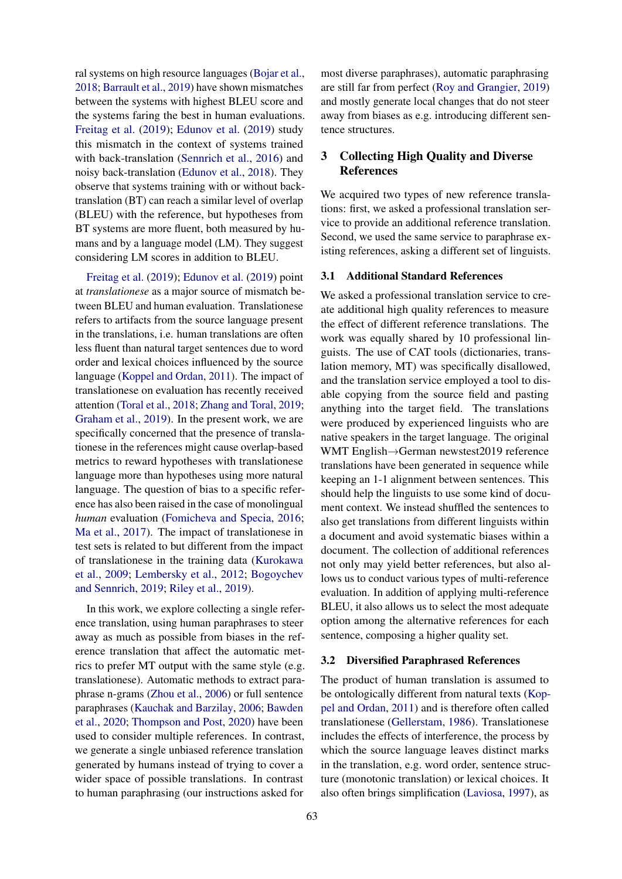ral systems on high resource languages [\(Bojar et al.,](#page-8-1) [2018;](#page-8-1) [Barrault et al.,](#page-8-2) [2019\)](#page-8-2) have shown mismatches between the systems with highest BLEU score and the systems faring the best in human evaluations. [Freitag et al.](#page-9-7) [\(2019\)](#page-9-7); [Edunov et al.](#page-9-8) [\(2019\)](#page-9-8) study this mismatch in the context of systems trained with back-translation [\(Sennrich et al.,](#page-10-10) [2016\)](#page-10-10) and noisy back-translation [\(Edunov et al.,](#page-9-9) [2018\)](#page-9-9). They observe that systems training with or without backtranslation (BT) can reach a similar level of overlap (BLEU) with the reference, but hypotheses from BT systems are more fluent, both measured by humans and by a language model (LM). They suggest considering LM scores in addition to BLEU.

[Freitag et al.](#page-9-7) [\(2019\)](#page-9-7); [Edunov et al.](#page-9-8) [\(2019\)](#page-9-8) point at *translationese* as a major source of mismatch between BLEU and human evaluation. Translationese refers to artifacts from the source language present in the translations, i.e. human translations are often less fluent than natural target sentences due to word order and lexical choices influenced by the source language [\(Koppel and Ordan,](#page-9-4) [2011\)](#page-9-4). The impact of translationese on evaluation has recently received attention [\(Toral et al.,](#page-10-11) [2018;](#page-10-11) [Zhang and Toral,](#page-10-12) [2019;](#page-10-12) [Graham et al.,](#page-9-10) [2019\)](#page-9-10). In the present work, we are specifically concerned that the presence of translationese in the references might cause overlap-based metrics to reward hypotheses with translationese language more than hypotheses using more natural language. The question of bias to a specific reference has also been raised in the case of monolingual *human* evaluation [\(Fomicheva and Specia,](#page-9-11) [2016;](#page-9-11) [Ma et al.,](#page-9-12) [2017\)](#page-9-12). The impact of translationese in test sets is related to but different from the impact of translationese in the training data [\(Kurokawa](#page-9-13) [et al.,](#page-9-13) [2009;](#page-9-13) [Lembersky et al.,](#page-9-14) [2012;](#page-9-14) [Bogoychev](#page-8-12) [and Sennrich,](#page-8-12) [2019;](#page-8-12) [Riley et al.,](#page-10-13) [2019\)](#page-10-13).

In this work, we explore collecting a single reference translation, using human paraphrases to steer away as much as possible from biases in the reference translation that affect the automatic metrics to prefer MT output with the same style (e.g. translationese). Automatic methods to extract paraphrase n-grams [\(Zhou et al.,](#page-10-14) [2006\)](#page-10-14) or full sentence paraphrases [\(Kauchak and Barzilay,](#page-9-15) [2006;](#page-9-15) [Bawden](#page-8-13) [et al.,](#page-8-13) [2020;](#page-8-13) [Thompson and Post,](#page-10-15) [2020\)](#page-10-15) have been used to consider multiple references. In contrast, we generate a single unbiased reference translation generated by humans instead of trying to cover a wider space of possible translations. In contrast to human paraphrasing (our instructions asked for

most diverse paraphrases), automatic paraphrasing are still far from perfect [\(Roy and Grangier,](#page-10-16) [2019\)](#page-10-16) and mostly generate local changes that do not steer away from biases as e.g. introducing different sentence structures.

# <span id="page-2-0"></span>3 Collecting High Quality and Diverse References

We acquired two types of new reference translations: first, we asked a professional translation service to provide an additional reference translation. Second, we used the same service to paraphrase existing references, asking a different set of linguists.

# 3.1 Additional Standard References

We asked a professional translation service to create additional high quality references to measure the effect of different reference translations. The work was equally shared by 10 professional linguists. The use of CAT tools (dictionaries, translation memory, MT) was specifically disallowed, and the translation service employed a tool to disable copying from the source field and pasting anything into the target field. The translations were produced by experienced linguists who are native speakers in the target language. The original WMT English→German newstest2019 reference translations have been generated in sequence while keeping an 1-1 alignment between sentences. This should help the linguists to use some kind of document context. We instead shuffled the sentences to also get translations from different linguists within a document and avoid systematic biases within a document. The collection of additional references not only may yield better references, but also allows us to conduct various types of multi-reference evaluation. In addition of applying multi-reference BLEU, it also allows us to select the most adequate option among the alternative references for each sentence, composing a higher quality set.

#### 3.2 Diversified Paraphrased References

The product of human translation is assumed to be ontologically different from natural texts [\(Kop](#page-9-4)[pel and Ordan,](#page-9-4) [2011\)](#page-9-4) and is therefore often called translationese [\(Gellerstam,](#page-9-16) [1986\)](#page-9-16). Translationese includes the effects of interference, the process by which the source language leaves distinct marks in the translation, e.g. word order, sentence structure (monotonic translation) or lexical choices. It also often brings simplification [\(Laviosa,](#page-9-17) [1997\)](#page-9-17), as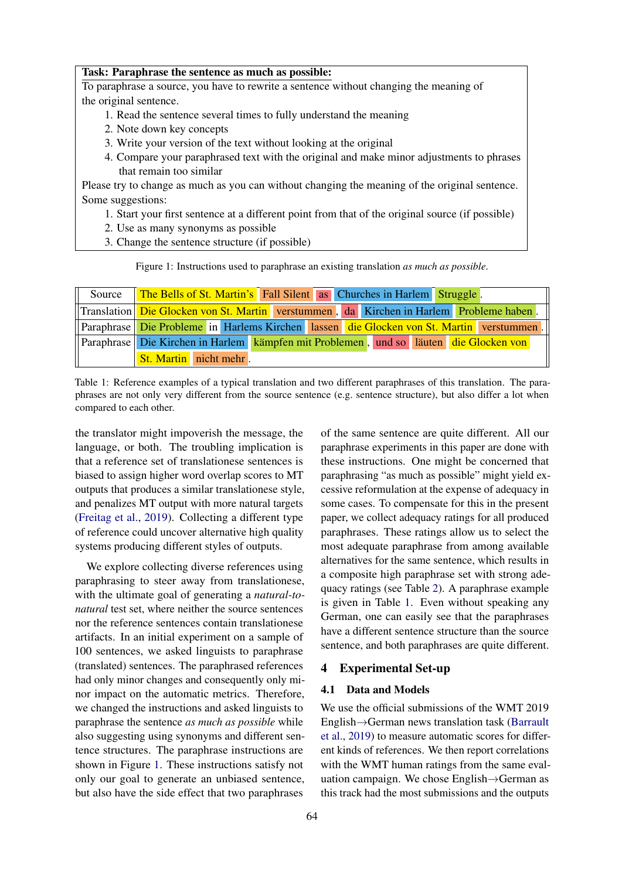#### <span id="page-3-0"></span>Task: Paraphrase the sentence as much as possible:

To paraphrase a source, you have to rewrite a sentence without changing the meaning of the original sentence.

- 1. Read the sentence several times to fully understand the meaning
- 2. Note down key concepts
- 3. Write your version of the text without looking at the original
- 4. Compare your paraphrased text with the original and make minor adjustments to phrases that remain too similar

Please try to change as much as you can without changing the meaning of the original sentence. Some suggestions:

- 1. Start your first sentence at a different point from that of the original source (if possible)
- 2. Use as many synonyms as possible
- 3. Change the sentence structure (if possible)

Figure 1: Instructions used to paraphrase an existing translation *as much as possible*.

<span id="page-3-1"></span>

| Source The Bells of St. Martin's Fall Silent as Churches in Harlem Struggle.             |  |  |  |
|------------------------------------------------------------------------------------------|--|--|--|
| Translation Die Glocken von St. Martin verstummen, da Kirchen in Harlem Probleme haben.  |  |  |  |
| Paraphrase Die Probleme in Harlems Kirchen lassen die Glocken von St. Martin verstummen. |  |  |  |
| Paraphrase Die Kirchen in Harlem kämpfen mit Problemen, und so läuten die Glocken von    |  |  |  |
| <b>St. Martin</b> nicht mehr.                                                            |  |  |  |

Table 1: Reference examples of a typical translation and two different paraphrases of this translation. The paraphrases are not only very different from the source sentence (e.g. sentence structure), but also differ a lot when compared to each other.

the translator might impoverish the message, the language, or both. The troubling implication is that a reference set of translationese sentences is biased to assign higher word overlap scores to MT outputs that produces a similar translationese style, and penalizes MT output with more natural targets [\(Freitag et al.,](#page-9-7) [2019\)](#page-9-7). Collecting a different type of reference could uncover alternative high quality systems producing different styles of outputs.

We explore collecting diverse references using paraphrasing to steer away from translationese, with the ultimate goal of generating a *natural-tonatural* test set, where neither the source sentences nor the reference sentences contain translationese artifacts. In an initial experiment on a sample of 100 sentences, we asked linguists to paraphrase (translated) sentences. The paraphrased references had only minor changes and consequently only minor impact on the automatic metrics. Therefore, we changed the instructions and asked linguists to paraphrase the sentence *as much as possible* while also suggesting using synonyms and different sentence structures. The paraphrase instructions are shown in Figure [1.](#page-3-0) These instructions satisfy not only our goal to generate an unbiased sentence, but also have the side effect that two paraphrases

of the same sentence are quite different. All our paraphrase experiments in this paper are done with these instructions. One might be concerned that paraphrasing "as much as possible" might yield excessive reformulation at the expense of adequacy in some cases. To compensate for this in the present paper, we collect adequacy ratings for all produced paraphrases. These ratings allow us to select the most adequate paraphrase from among available alternatives for the same sentence, which results in a composite high paraphrase set with strong adequacy ratings (see Table [2\)](#page-4-0). A paraphrase example is given in Table [1.](#page-3-1) Even without speaking any German, one can easily see that the paraphrases have a different sentence structure than the source sentence, and both paraphrases are quite different.

# 4 Experimental Set-up

### 4.1 Data and Models

We use the official submissions of the WMT 2019 English→German news translation task [\(Barrault](#page-8-2) [et al.,](#page-8-2) [2019\)](#page-8-2) to measure automatic scores for different kinds of references. We then report correlations with the WMT human ratings from the same evaluation campaign. We chose English→German as this track had the most submissions and the outputs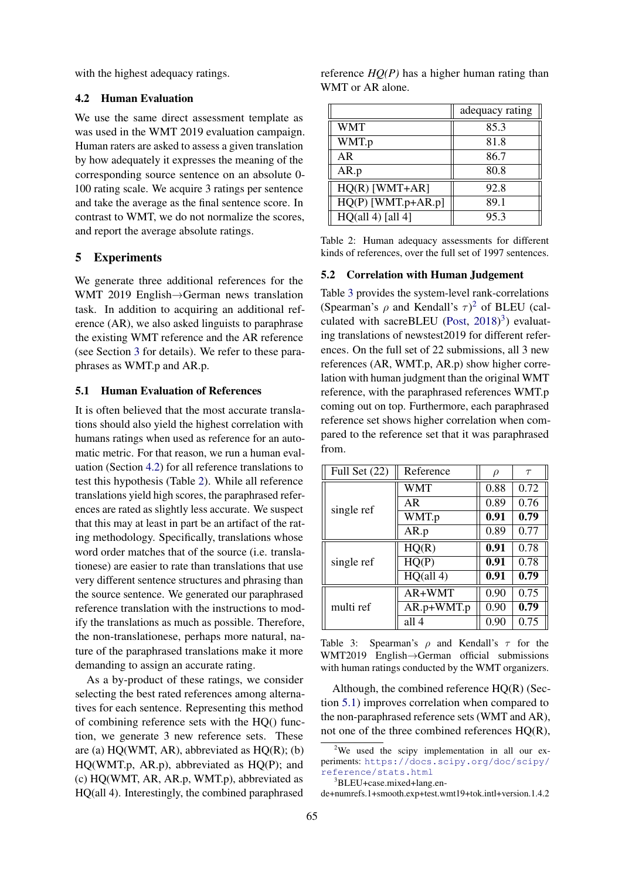with the highest adequacy ratings.

### <span id="page-4-1"></span>4.2 Human Evaluation

We use the same direct assessment template as was used in the WMT 2019 evaluation campaign. Human raters are asked to assess a given translation by how adequately it expresses the meaning of the corresponding source sentence on an absolute 0- 100 rating scale. We acquire 3 ratings per sentence and take the average as the final sentence score. In contrast to WMT, we do not normalize the scores, and report the average absolute ratings.

# 5 Experiments

We generate three additional references for the WMT 2019 English→German news translation task. In addition to acquiring an additional reference (AR), we also asked linguists to paraphrase the existing WMT reference and the AR reference (see Section [3](#page-2-0) for details). We refer to these paraphrases as WMT.p and AR.p.

# <span id="page-4-5"></span>5.1 Human Evaluation of References

It is often believed that the most accurate translations should also yield the highest correlation with humans ratings when used as reference for an automatic metric. For that reason, we run a human evaluation (Section [4.2\)](#page-4-1) for all reference translations to test this hypothesis (Table [2\)](#page-4-0). While all reference translations yield high scores, the paraphrased references are rated as slightly less accurate. We suspect that this may at least in part be an artifact of the rating methodology. Specifically, translations whose word order matches that of the source (i.e. translationese) are easier to rate than translations that use very different sentence structures and phrasing than the source sentence. We generated our paraphrased reference translation with the instructions to modify the translations as much as possible. Therefore, the non-translationese, perhaps more natural, nature of the paraphrased translations make it more demanding to assign an accurate rating.

As a by-product of these ratings, we consider selecting the best rated references among alternatives for each sentence. Representing this method of combining reference sets with the HQ() function, we generate 3 new reference sets. These are (a)  $HQ(WMT, AR)$ , abbreviated as  $HQ(R)$ ; (b) HQ(WMT.p, AR.p), abbreviated as HQ(P); and (c) HQ(WMT, AR, AR.p, WMT.p), abbreviated as HQ(all 4). Interestingly, the combined paraphrased

| reference $HQ(P)$ has a higher human rating than |  |  |
|--------------------------------------------------|--|--|
| WMT or AR alone.                                 |  |  |

<span id="page-4-0"></span>

|                      | adequacy rating |
|----------------------|-----------------|
| <b>WMT</b>           | 85.3            |
| WMT.p                | 81.8            |
| AR                   | 86.7            |
| AR.p                 | 80.8            |
| $HQ(R)$ [WMT+AR]     | 92.8            |
| $HQ(P)$ [WMT.p+AR.p] | 89.1            |
| HQ(all 4) [all 4]    | 95.3            |

Table 2: Human adequacy assessments for different kinds of references, over the full set of 1997 sentences.

#### 5.2 Correlation with Human Judgement

Table [3](#page-4-2) provides the system-level rank-correlations (Spearman's  $\rho$  and Kendall's  $\tau$ )<sup>[2](#page-4-3)</sup> of BLEU (cal-culated with sacreBLEU [\(Post,](#page-10-17)  $2018)^3$  $2018)^3$  $2018)^3$ ) evaluating translations of newstest2019 for different references. On the full set of 22 submissions, all 3 new references (AR, WMT.p, AR.p) show higher correlation with human judgment than the original WMT reference, with the paraphrased references WMT.p coming out on top. Furthermore, each paraphrased reference set shows higher correlation when compared to the reference set that it was paraphrased from.

<span id="page-4-2"></span>

| Full Set $(22)$ | Reference  | $\rho$ | $\tau$ |
|-----------------|------------|--------|--------|
|                 | <b>WMT</b> | 0.88   | 0.72   |
| single ref      | AR         | 0.89   | 0.76   |
|                 | WMT.p      | 0.91   | 0.79   |
|                 | AR.p       | 0.89   | 0.77   |
|                 | HQ(R)      | 0.91   | 0.78   |
| single ref      | HQ(P)      | 0.91   | 0.78   |
|                 | HQ(all 4)  | 0.91   | 0.79   |
|                 | AR+WMT     | 0.90   | 0.75   |
| multi ref       | AR.p+WMT.p | 0.90   | 0.79   |
|                 | all 4      | 0.90   | 0.75   |

Table 3: Spearman's  $\rho$  and Kendall's  $\tau$  for the WMT2019 English→German official submissions with human ratings conducted by the WMT organizers.

Although, the combined reference HQ(R) (Section [5.1\)](#page-4-5) improves correlation when compared to the non-paraphrased reference sets (WMT and AR), not one of the three combined references HQ(R),

<span id="page-4-3"></span> $2$ We used the scipy implementation in all our experiments: [https://docs.scipy.org/doc/scipy/](https://docs.scipy.org/doc/scipy/reference/stats.html) [reference/stats.html](https://docs.scipy.org/doc/scipy/reference/stats.html)

<span id="page-4-4"></span><sup>3</sup>BLEU+case.mixed+lang.en-

de+numrefs.1+smooth.exp+test.wmt19+tok.intl+version.1.4.2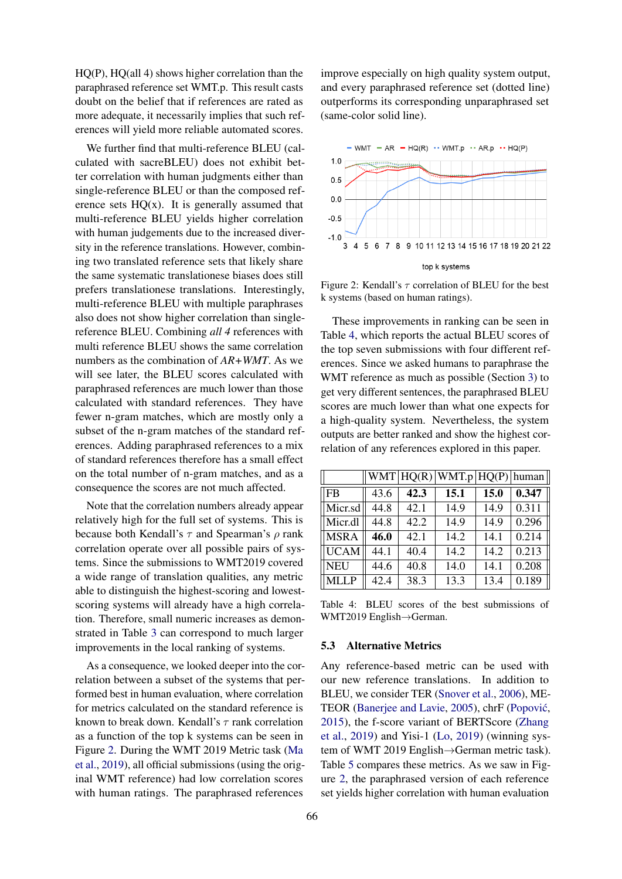HQ(P), HQ(all 4) shows higher correlation than the paraphrased reference set WMT.p. This result casts doubt on the belief that if references are rated as more adequate, it necessarily implies that such references will yield more reliable automated scores.

We further find that multi-reference BLEU (calculated with sacreBLEU) does not exhibit better correlation with human judgments either than single-reference BLEU or than the composed reference sets  $HQ(x)$ . It is generally assumed that multi-reference BLEU yields higher correlation with human judgements due to the increased diversity in the reference translations. However, combining two translated reference sets that likely share the same systematic translationese biases does still prefers translationese translations. Interestingly, multi-reference BLEU with multiple paraphrases also does not show higher correlation than singlereference BLEU. Combining *all 4* references with multi reference BLEU shows the same correlation numbers as the combination of *AR+WMT*. As we will see later, the BLEU scores calculated with paraphrased references are much lower than those calculated with standard references. They have fewer n-gram matches, which are mostly only a subset of the n-gram matches of the standard references. Adding paraphrased references to a mix of standard references therefore has a small effect on the total number of n-gram matches, and as a consequence the scores are not much affected.

Note that the correlation numbers already appear relatively high for the full set of systems. This is because both Kendall's  $\tau$  and Spearman's  $\rho$  rank correlation operate over all possible pairs of systems. Since the submissions to WMT2019 covered a wide range of translation qualities, any metric able to distinguish the highest-scoring and lowestscoring systems will already have a high correlation. Therefore, small numeric increases as demonstrated in Table [3](#page-4-2) can correspond to much larger improvements in the local ranking of systems.

As a consequence, we looked deeper into the correlation between a subset of the systems that performed best in human evaluation, where correlation for metrics calculated on the standard reference is known to break down. Kendall's  $\tau$  rank correlation as a function of the top k systems can be seen in Figure [2.](#page-5-0) During the WMT 2019 Metric task [\(Ma](#page-9-3) [et al.,](#page-9-3) [2019\)](#page-9-3), all official submissions (using the original WMT reference) had low correlation scores with human ratings. The paraphrased references

improve especially on high quality system output, and every paraphrased reference set (dotted line) outperforms its corresponding unparaphrased set (same-color solid line).

<span id="page-5-0"></span>

Figure 2: Kendall's  $\tau$  correlation of BLEU for the best k systems (based on human ratings).

These improvements in ranking can be seen in Table [4,](#page-5-1) which reports the actual BLEU scores of the top seven submissions with four different references. Since we asked humans to paraphrase the WMT reference as much as possible (Section [3\)](#page-2-0) to get very different sentences, the paraphrased BLEU scores are much lower than what one expects for a high-quality system. Nevertheless, the system outputs are better ranked and show the highest correlation of any references explored in this paper.

<span id="page-5-1"></span>

|             |      |      | $ WMT HQ(R) WMT.p HQ(P) $ human |      |       |
|-------------|------|------|---------------------------------|------|-------|
| FB          | 43.6 | 42.3 | 15.1                            | 15.0 | 0.347 |
| Micr.sd     | 44.8 | 42.1 | 14.9                            | 14.9 | 0.311 |
| Micr.dl     | 44.8 | 42.2 | 14.9                            | 14.9 | 0.296 |
| <b>MSRA</b> | 46.0 | 42.1 | 14.2                            | 14.1 | 0.214 |
| <b>UCAM</b> | 44.1 | 40.4 | 14.2                            | 14.2 | 0.213 |
| <b>NEU</b>  | 44.6 | 40.8 | 14.0                            | 14.1 | 0.208 |
| <b>MLLP</b> | 42.4 | 38.3 | 13.3                            | 13.4 | 0.189 |

Table 4: BLEU scores of the best submissions of WMT2019 English→German.

#### 5.3 Alternative Metrics

Any reference-based metric can be used with our new reference translations. In addition to BLEU, we consider TER [\(Snover et al.,](#page-10-7) [2006\)](#page-10-7), ME-TEOR [\(Banerjee and Lavie,](#page-8-5) [2005\)](#page-8-5), chrF (Popović, [2015\)](#page-10-18), the f-score variant of BERTScore [\(Zhang](#page-10-2) [et al.,](#page-10-2) [2019\)](#page-10-2) and Yisi-1 [\(Lo,](#page-9-18) [2019\)](#page-9-18) (winning system of WMT 2019 English→German metric task). Table [5](#page-6-0) compares these metrics. As we saw in Figure [2,](#page-5-0) the paraphrased version of each reference set yields higher correlation with human evaluation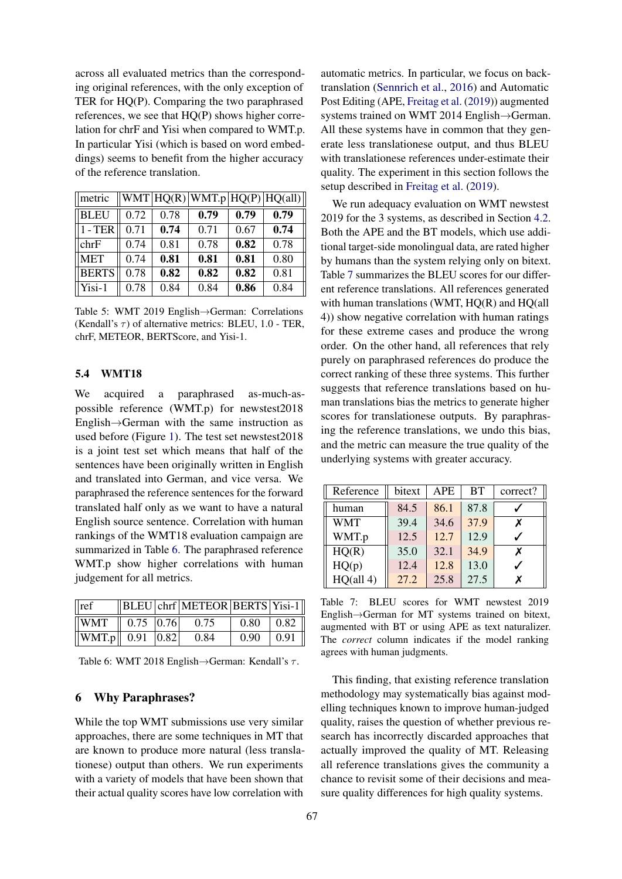across all evaluated metrics than the corresponding original references, with the only exception of TER for HQ(P). Comparing the two paraphrased references, we see that HQ(P) shows higher correlation for chrF and Yisi when compared to WMT.p. In particular Yisi (which is based on word embeddings) seems to benefit from the higher accuracy of the reference translation.

<span id="page-6-0"></span>

| $\parallel$ metric |      |      |      |      | WMT HQ(R) WMT.p HQ(P) HQ(al ) |
|--------------------|------|------|------|------|-------------------------------|
| $\parallel$ BLEU   | 0.72 | 0.78 | 0.79 | 0.79 | 0.79                          |
| $1 - TER$          | 0.71 | 0.74 | 0.71 | 0.67 | 0.74                          |
| chrF               | 0.74 | 0.81 | 0.78 | 0.82 | 0.78                          |
| <b>MET</b>         | 0.74 | 0.81 | 0.81 | 0.81 | 0.80                          |
| <b>BERTS</b>       | 0.78 | 0.82 | 0.82 | 0.82 | 0.81                          |
| Yisi-1             | 0.78 | 0.84 | 0.84 | 0.86 | 0.84                          |

Table 5: WMT 2019 English→German: Correlations (Kendall's  $\tau$ ) of alternative metrics: BLEU, 1.0 - TER, chrF, METEOR, BERTScore, and Yisi-1.

#### 5.4 WMT18

We acquired a paraphrased as-much-aspossible reference (WMT.p) for newstest2018 English→German with the same instruction as used before (Figure [1\)](#page-3-0). The test set newstest2018 is a joint test set which means that half of the sentences have been originally written in English and translated into German, and vice versa. We paraphrased the reference sentences for the forward translated half only as we want to have a natural English source sentence. Correlation with human rankings of the WMT18 evaluation campaign are summarized in Table [6.](#page-6-1) The paraphrased reference WMT.p show higher correlations with human judgement for all metrics.

<span id="page-6-1"></span>

| $\vert$ ref                        |  | $\left\ $ BLEU chrf METEOR BERTS Yisi-1 |                |                       |
|------------------------------------|--|-----------------------------------------|----------------|-----------------------|
| $\sqrt{\text{WMT}}$ 0.75 0.76 0.75 |  |                                         | $0.80 \t 0.82$ |                       |
| $\ WMT.p\ $ 0.91 $ 0.82 $ 0.84     |  |                                         |                | $0.90 \mid 0.91 \mid$ |

Table 6: WMT 2018 English $\rightarrow$ German: Kendall's  $\tau$ .

#### 6 Why Paraphrases?

While the top WMT submissions use very similar approaches, there are some techniques in MT that are known to produce more natural (less translationese) output than others. We run experiments with a variety of models that have been shown that their actual quality scores have low correlation with

automatic metrics. In particular, we focus on backtranslation [\(Sennrich et al.,](#page-10-10) [2016\)](#page-10-10) and Automatic Post Editing (APE, [Freitag et al.](#page-9-7) [\(2019\)](#page-9-7)) augmented systems trained on WMT 2014 English→German. All these systems have in common that they generate less translationese output, and thus BLEU with translationese references under-estimate their quality. The experiment in this section follows the setup described in [Freitag et al.](#page-9-7) [\(2019\)](#page-9-7).

We run adequacy evaluation on WMT newstest 2019 for the 3 systems, as described in Section [4.2.](#page-4-1) Both the APE and the BT models, which use additional target-side monolingual data, are rated higher by humans than the system relying only on bitext. Table [7](#page-6-2) summarizes the BLEU scores for our different reference translations. All references generated with human translations (WMT,  $HO(R)$  and  $HO(all)$ 4)) show negative correlation with human ratings for these extreme cases and produce the wrong order. On the other hand, all references that rely purely on paraphrased references do produce the correct ranking of these three systems. This further suggests that reference translations based on human translations bias the metrics to generate higher scores for translationese outputs. By paraphrasing the reference translations, we undo this bias, and the metric can measure the true quality of the underlying systems with greater accuracy.

<span id="page-6-2"></span>

| Reference  | bitext | <b>APE</b> | <b>BT</b> | correct? |
|------------|--------|------------|-----------|----------|
| human      | 84.5   | 86.1       | 87.8      |          |
| <b>WMT</b> | 39.4   | 34.6       | 37.9      | X        |
| WMT.p      | 12.5   | 12.7       | 12.9      |          |
| HQ(R)      | 35.0   | 32.1       | 34.9      | х        |
| HQ(p)      | 12.4   | 12.8       | 13.0      |          |
| HQ(all 4)  | 27.2   | 25.8       | 27.5      | x        |

Table 7: BLEU scores for WMT newstest 2019 English→German for MT systems trained on bitext, augmented with BT or using APE as text naturalizer. The *correct* column indicates if the model ranking agrees with human judgments.

This finding, that existing reference translation methodology may systematically bias against modelling techniques known to improve human-judged quality, raises the question of whether previous research has incorrectly discarded approaches that actually improved the quality of MT. Releasing all reference translations gives the community a chance to revisit some of their decisions and measure quality differences for high quality systems.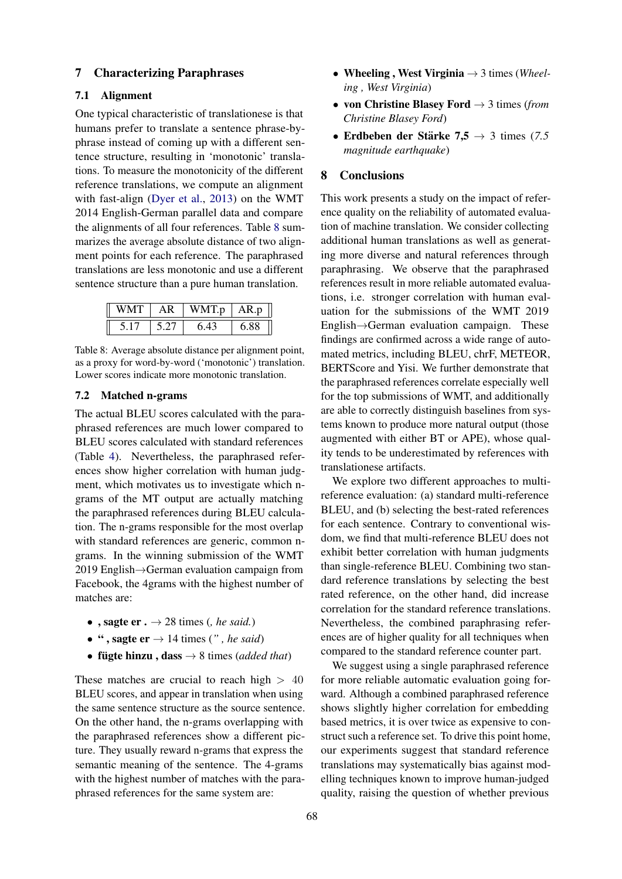#### 7 Characterizing Paraphrases

# 7.1 Alignment

One typical characteristic of translationese is that humans prefer to translate a sentence phrase-byphrase instead of coming up with a different sentence structure, resulting in 'monotonic' translations. To measure the monotonicity of the different reference translations, we compute an alignment with fast-align [\(Dyer et al.,](#page-9-19) [2013\)](#page-9-19) on the WMT 2014 English-German parallel data and compare the alignments of all four references. Table [8](#page-7-0) summarizes the average absolute distance of two alignment points for each reference. The paraphrased translations are less monotonic and use a different sentence structure than a pure human translation.

<span id="page-7-0"></span>

| WMT | ΑR | WMT.p | AR.p |
|-----|----|-------|------|
|     |    | 6.43  | 6.88 |

Table 8: Average absolute distance per alignment point, as a proxy for word-by-word ('monotonic') translation. Lower scores indicate more monotonic translation.

### 7.2 Matched n-grams

The actual BLEU scores calculated with the paraphrased references are much lower compared to BLEU scores calculated with standard references (Table [4\)](#page-5-1). Nevertheless, the paraphrased references show higher correlation with human judgment, which motivates us to investigate which ngrams of the MT output are actually matching the paraphrased references during BLEU calculation. The n-grams responsible for the most overlap with standard references are generic, common ngrams. In the winning submission of the WMT 2019 English→German evaluation campaign from Facebook, the 4grams with the highest number of matches are:

- , sagte  $er \cdot \rightarrow 28$  times (*, he said.*)
- ", sagte  $er \rightarrow 14$  times (", he said)
- **fügte hinzu**, **dass**  $\rightarrow$  8 times (*added that*)

These matches are crucial to reach high  $> 40$ BLEU scores, and appear in translation when using the same sentence structure as the source sentence. On the other hand, the n-grams overlapping with the paraphrased references show a different picture. They usually reward n-grams that express the semantic meaning of the sentence. The 4-grams with the highest number of matches with the paraphrased references for the same system are:

- Wheeling , West Virginia → 3 times (*Wheeling , West Virginia*)
- von Christine Blasey Ford → 3 times (*from Christine Blasey Ford*)
- Erdbeben der Stärke  $7,5 \rightarrow 3$  times (7.5 *magnitude earthquake*)

### 8 Conclusions

This work presents a study on the impact of reference quality on the reliability of automated evaluation of machine translation. We consider collecting additional human translations as well as generating more diverse and natural references through paraphrasing. We observe that the paraphrased references result in more reliable automated evaluations, i.e. stronger correlation with human evaluation for the submissions of the WMT 2019 English→German evaluation campaign. These findings are confirmed across a wide range of automated metrics, including BLEU, chrF, METEOR, BERTScore and Yisi. We further demonstrate that the paraphrased references correlate especially well for the top submissions of WMT, and additionally are able to correctly distinguish baselines from systems known to produce more natural output (those augmented with either BT or APE), whose quality tends to be underestimated by references with translationese artifacts.

We explore two different approaches to multireference evaluation: (a) standard multi-reference BLEU, and (b) selecting the best-rated references for each sentence. Contrary to conventional wisdom, we find that multi-reference BLEU does not exhibit better correlation with human judgments than single-reference BLEU. Combining two standard reference translations by selecting the best rated reference, on the other hand, did increase correlation for the standard reference translations. Nevertheless, the combined paraphrasing references are of higher quality for all techniques when compared to the standard reference counter part.

We suggest using a single paraphrased reference for more reliable automatic evaluation going forward. Although a combined paraphrased reference shows slightly higher correlation for embedding based metrics, it is over twice as expensive to construct such a reference set. To drive this point home, our experiments suggest that standard reference translations may systematically bias against modelling techniques known to improve human-judged quality, raising the question of whether previous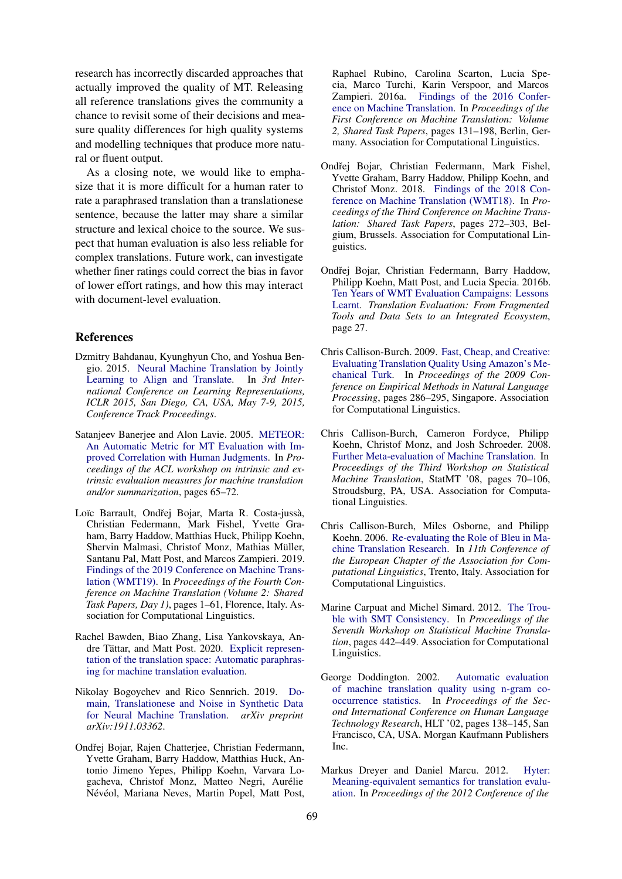research has incorrectly discarded approaches that actually improved the quality of MT. Releasing all reference translations gives the community a chance to revisit some of their decisions and measure quality differences for high quality systems and modelling techniques that produce more natural or fluent output.

As a closing note, we would like to emphasize that it is more difficult for a human rater to rate a paraphrased translation than a translationese sentence, because the latter may share a similar structure and lexical choice to the source. We suspect that human evaluation is also less reliable for complex translations. Future work, can investigate whether finer ratings could correct the bias in favor of lower effort ratings, and how this may interact with document-level evaluation.

# References

- <span id="page-8-0"></span>Dzmitry Bahdanau, Kyunghyun Cho, and Yoshua Bengio. 2015. [Neural Machine Translation by Jointly](http://arxiv.org/abs/1409.0473) [Learning to Align and Translate.](http://arxiv.org/abs/1409.0473) In *3rd International Conference on Learning Representations, ICLR 2015, San Diego, CA, USA, May 7-9, 2015, Conference Track Proceedings*.
- <span id="page-8-5"></span>Satanjeev Banerjee and Alon Lavie. 2005. [METEOR:](https://www.aclweb.org/anthology/W05-0909.pdf) [An Automatic Metric for MT Evaluation with Im](https://www.aclweb.org/anthology/W05-0909.pdf)[proved Correlation with Human Judgments.](https://www.aclweb.org/anthology/W05-0909.pdf) In *Proceedings of the ACL workshop on intrinsic and extrinsic evaluation measures for machine translation and/or summarization*, pages 65–72.
- <span id="page-8-2"></span>Loïc Barrault, Ondřej Bojar, Marta R. Costa-jussà, Christian Federmann, Mark Fishel, Yvette Graham, Barry Haddow, Matthias Huck, Philipp Koehn, Shervin Malmasi, Christof Monz, Mathias Müller, Santanu Pal, Matt Post, and Marcos Zampieri. 2019. [Findings of the 2019 Conference on Machine Trans](https://doi.org/10.18653/v1/W19-5301)[lation \(WMT19\).](https://doi.org/10.18653/v1/W19-5301) In *Proceedings of the Fourth Conference on Machine Translation (Volume 2: Shared Task Papers, Day 1)*, pages 1–61, Florence, Italy. Association for Computational Linguistics.
- <span id="page-8-13"></span>Rachel Bawden, Biao Zhang, Lisa Yankovskaya, An-dre Tättar, and Matt Post. 2020. [Explicit represen](http://arxiv.org/abs/2004.14989)[tation of the translation space: Automatic paraphras](http://arxiv.org/abs/2004.14989)[ing for machine translation evaluation.](http://arxiv.org/abs/2004.14989)
- <span id="page-8-12"></span>Nikolay Bogoychev and Rico Sennrich. 2019. [Do](https://arxiv.org/abs/1911.03362)[main, Translationese and Noise in Synthetic Data](https://arxiv.org/abs/1911.03362) [for Neural Machine Translation.](https://arxiv.org/abs/1911.03362) *arXiv preprint arXiv:1911.03362*.
- <span id="page-8-6"></span>Ondřej Bojar, Rajen Chatterjee, Christian Federmann, Yvette Graham, Barry Haddow, Matthias Huck, Antonio Jimeno Yepes, Philipp Koehn, Varvara Logacheva, Christof Monz, Matteo Negri, Aurelie ´ Névéol, Mariana Neves, Martin Popel, Matt Post,

Raphael Rubino, Carolina Scarton, Lucia Specia, Marco Turchi, Karin Verspoor, and Marcos Zampieri. 2016a. [Findings of the 2016 Confer](https://doi.org/10.18653/v1/W16-2301)[ence on Machine Translation.](https://doi.org/10.18653/v1/W16-2301) In *Proceedings of the First Conference on Machine Translation: Volume 2, Shared Task Papers*, pages 131–198, Berlin, Germany. Association for Computational Linguistics.

- <span id="page-8-1"></span>Ondřej Bojar, Christian Federmann, Mark Fishel, Yvette Graham, Barry Haddow, Philipp Koehn, and Christof Monz. 2018. [Findings of the 2018 Con](https://doi.org/10.18653/v1/W18-6401)[ference on Machine Translation \(WMT18\).](https://doi.org/10.18653/v1/W18-6401) In *Proceedings of the Third Conference on Machine Translation: Shared Task Papers*, pages 272–303, Belgium, Brussels. Association for Computational Linguistics.
- <span id="page-8-3"></span>Ondřej Bojar, Christian Federmann, Barry Haddow, Philipp Koehn, Matt Post, and Lucia Specia. 2016b. [Ten Years of WMT Evaluation Campaigns: Lessons](http://www.cs.jhu.edu/~post/papers/bojar2016ten.pdf) [Learnt.](http://www.cs.jhu.edu/~post/papers/bojar2016ten.pdf) *Translation Evaluation: From Fragmented Tools and Data Sets to an Integrated Ecosystem*, page 27.
- <span id="page-8-11"></span>Chris Callison-Burch. 2009. [Fast, Cheap, and Creative:](https://www.aclweb.org/anthology/D09-1030) [Evaluating Translation Quality Using Amazon's Me](https://www.aclweb.org/anthology/D09-1030)[chanical Turk.](https://www.aclweb.org/anthology/D09-1030) In *Proceedings of the 2009 Conference on Empirical Methods in Natural Language Processing*, pages 286–295, Singapore. Association for Computational Linguistics.
- <span id="page-8-10"></span>Chris Callison-Burch, Cameron Fordyce, Philipp Koehn, Christof Monz, and Josh Schroeder. 2008. [Further Meta-evaluation of Machine Translation.](http://dl.acm.org/citation.cfm?id=1626394.1626403) In *Proceedings of the Third Workshop on Statistical Machine Translation*, StatMT '08, pages 70–106, Stroudsburg, PA, USA. Association for Computational Linguistics.
- <span id="page-8-4"></span>Chris Callison-Burch, Miles Osborne, and Philipp Koehn. 2006. [Re-evaluating the Role of Bleu in Ma](https://www.aclweb.org/anthology/E06-1032)[chine Translation Research.](https://www.aclweb.org/anthology/E06-1032) In *11th Conference of the European Chapter of the Association for Computational Linguistics*, Trento, Italy. Association for Computational Linguistics.
- <span id="page-8-7"></span>Marine Carpuat and Michel Simard. 2012. [The Trou](https://www.aclweb.org/anthology/W12-3156.pdf)[ble with SMT Consistency.](https://www.aclweb.org/anthology/W12-3156.pdf) In *Proceedings of the Seventh Workshop on Statistical Machine Translation*, pages 442–449. Association for Computational Linguistics.
- <span id="page-8-8"></span>George Doddington. 2002. [Automatic evaluation](http://dl.acm.org/citation.cfm?id=1289189.1289273) [of machine translation quality using n-gram co](http://dl.acm.org/citation.cfm?id=1289189.1289273)[occurrence statistics.](http://dl.acm.org/citation.cfm?id=1289189.1289273) In *Proceedings of the Second International Conference on Human Language Technology Research*, HLT '02, pages 138–145, San Francisco, CA, USA. Morgan Kaufmann Publishers Inc.
- <span id="page-8-9"></span>Markus Dreyer and Daniel Marcu. 2012. [Hyter:](https://www.aclweb.org/anthology/N12-1017.pdf) [Meaning-equivalent semantics for translation evalu](https://www.aclweb.org/anthology/N12-1017.pdf)[ation.](https://www.aclweb.org/anthology/N12-1017.pdf) In *Proceedings of the 2012 Conference of the*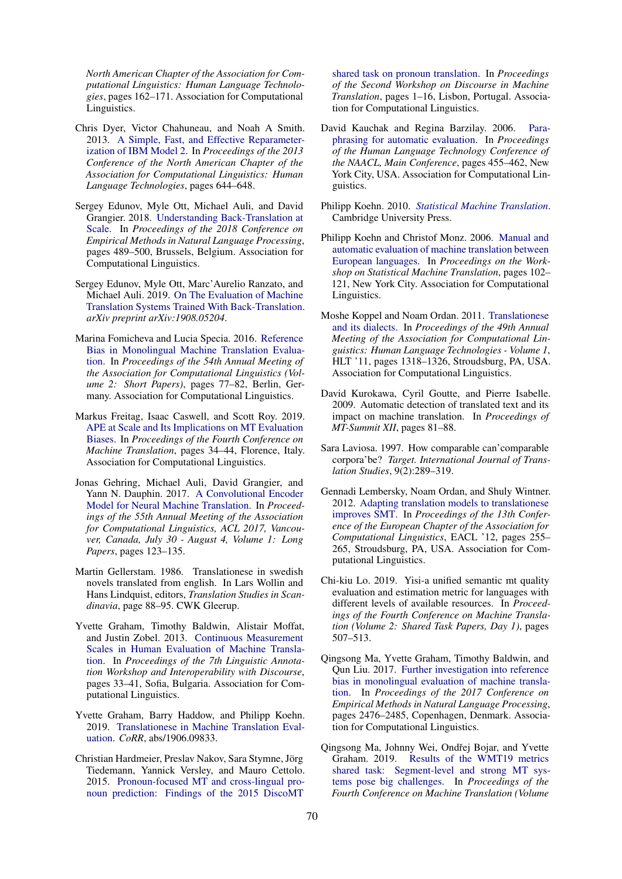*North American Chapter of the Association for Computational Linguistics: Human Language Technologies*, pages 162–171. Association for Computational Linguistics.

- <span id="page-9-19"></span>Chris Dyer, Victor Chahuneau, and Noah A Smith. 2013. [A Simple, Fast, and Effective Reparameter](https://www.aclweb.org/anthology/N13-1073.pdf)[ization of IBM Model 2.](https://www.aclweb.org/anthology/N13-1073.pdf) In *Proceedings of the 2013 Conference of the North American Chapter of the Association for Computational Linguistics: Human Language Technologies*, pages 644–648.
- <span id="page-9-9"></span>Sergey Edunov, Myle Ott, Michael Auli, and David Grangier. 2018. [Understanding Back-Translation at](https://doi.org/10.18653/v1/D18-1045) [Scale.](https://doi.org/10.18653/v1/D18-1045) In *Proceedings of the 2018 Conference on Empirical Methods in Natural Language Processing*, pages 489–500, Brussels, Belgium. Association for Computational Linguistics.
- <span id="page-9-8"></span>Sergey Edunov, Myle Ott, Marc'Aurelio Ranzato, and Michael Auli. 2019. [On The Evaluation of Machine](https://arxiv.org/pdf/1908.05204.pdf) [Translation Systems Trained With Back-Translation.](https://arxiv.org/pdf/1908.05204.pdf) *arXiv preprint arXiv:1908.05204*.
- <span id="page-9-11"></span>Marina Fomicheva and Lucia Specia. 2016. [Reference](https://doi.org/10.18653/v1/P16-2013) [Bias in Monolingual Machine Translation Evalua](https://doi.org/10.18653/v1/P16-2013)[tion.](https://doi.org/10.18653/v1/P16-2013) In *Proceedings of the 54th Annual Meeting of the Association for Computational Linguistics (Volume 2: Short Papers)*, pages 77–82, Berlin, Germany. Association for Computational Linguistics.
- <span id="page-9-7"></span>Markus Freitag, Isaac Caswell, and Scott Roy. 2019. [APE at Scale and Its Implications on MT Evaluation](http://www.aclweb.org/anthology/W19-5204) [Biases.](http://www.aclweb.org/anthology/W19-5204) In *Proceedings of the Fourth Conference on Machine Translation*, pages 34–44, Florence, Italy. Association for Computational Linguistics.
- <span id="page-9-0"></span>Jonas Gehring, Michael Auli, David Grangier, and Yann N. Dauphin. 2017. [A Convolutional Encoder](https://doi.org/10.18653/v1/P17-1012) [Model for Neural Machine Translation.](https://doi.org/10.18653/v1/P17-1012) In *Proceedings of the 55th Annual Meeting of the Association for Computational Linguistics, ACL 2017, Vancouver, Canada, July 30 - August 4, Volume 1: Long Papers*, pages 123–135.
- <span id="page-9-16"></span>Martin Gellerstam. 1986. Translationese in swedish novels translated from english. In Lars Wollin and Hans Lindquist, editors, *Translation Studies in Scandinavia*, page 88–95. CWK Gleerup.
- <span id="page-9-5"></span>Yvette Graham, Timothy Baldwin, Alistair Moffat, and Justin Zobel. 2013. [Continuous Measurement](https://www.aclweb.org/anthology/W13-2305) [Scales in Human Evaluation of Machine Transla](https://www.aclweb.org/anthology/W13-2305)[tion.](https://www.aclweb.org/anthology/W13-2305) In *Proceedings of the 7th Linguistic Annotation Workshop and Interoperability with Discourse*, pages 33–41, Sofia, Bulgaria. Association for Computational Linguistics.
- <span id="page-9-10"></span>Yvette Graham, Barry Haddow, and Philipp Koehn. 2019. [Translationese in Machine Translation Eval](http://arxiv.org/abs/1906.09833)[uation.](http://arxiv.org/abs/1906.09833) *CoRR*, abs/1906.09833.
- <span id="page-9-6"></span>Christian Hardmeier, Preslav Nakov, Sara Stymne, Jörg Tiedemann, Yannick Versley, and Mauro Cettolo. 2015. [Pronoun-focused MT and cross-lingual pro](https://doi.org/10.18653/v1/W15-2501)[noun prediction: Findings of the 2015 DiscoMT](https://doi.org/10.18653/v1/W15-2501)

[shared task on pronoun translation.](https://doi.org/10.18653/v1/W15-2501) In *Proceedings of the Second Workshop on Discourse in Machine Translation*, pages 1–16, Lisbon, Portugal. Association for Computational Linguistics.

- <span id="page-9-15"></span>David Kauchak and Regina Barzilay. 2006. [Para](https://www.aclweb.org/anthology/N06-1058)[phrasing for automatic evaluation.](https://www.aclweb.org/anthology/N06-1058) In *Proceedings of the Human Language Technology Conference of the NAACL, Main Conference*, pages 455–462, New York City, USA. Association for Computational Linguistics.
- <span id="page-9-2"></span>Philipp Koehn. 2010. *[Statistical Machine Translation](http://www.statmt.org/book/)*. Cambridge University Press.
- <span id="page-9-1"></span>Philipp Koehn and Christof Monz. 2006. [Manual and](https://www.aclweb.org/anthology/W06-3114) [automatic evaluation of machine translation between](https://www.aclweb.org/anthology/W06-3114) [European languages.](https://www.aclweb.org/anthology/W06-3114) In *Proceedings on the Workshop on Statistical Machine Translation*, pages 102– 121, New York City. Association for Computational Linguistics.
- <span id="page-9-4"></span>Moshe Koppel and Noam Ordan. 2011. [Translationese](http://dl.acm.org/citation.cfm?id=2002472.2002636) [and its dialects.](http://dl.acm.org/citation.cfm?id=2002472.2002636) In *Proceedings of the 49th Annual Meeting of the Association for Computational Linguistics: Human Language Technologies - Volume 1*, HLT '11, pages 1318–1326, Stroudsburg, PA, USA. Association for Computational Linguistics.
- <span id="page-9-13"></span>David Kurokawa, Cyril Goutte, and Pierre Isabelle. 2009. Automatic detection of translated text and its impact on machine translation. In *Proceedings of MT-Summit XII*, pages 81–88.
- <span id="page-9-17"></span>Sara Laviosa. 1997. How comparable can'comparable corpora'be? *Target. International Journal of Translation Studies*, 9(2):289–319.
- <span id="page-9-14"></span>Gennadi Lembersky, Noam Ordan, and Shuly Wintner. 2012. [Adapting translation models to translationese](http://dl.acm.org/citation.cfm?id=2380816.2380850) [improves SMT.](http://dl.acm.org/citation.cfm?id=2380816.2380850) In *Proceedings of the 13th Conference of the European Chapter of the Association for Computational Linguistics*, EACL '12, pages 255– 265, Stroudsburg, PA, USA. Association for Computational Linguistics.
- <span id="page-9-18"></span>Chi-kiu Lo. 2019. Yisi-a unified semantic mt quality evaluation and estimation metric for languages with different levels of available resources. In *Proceedings of the Fourth Conference on Machine Translation (Volume 2: Shared Task Papers, Day 1)*, pages 507–513.
- <span id="page-9-12"></span>Qingsong Ma, Yvette Graham, Timothy Baldwin, and Qun Liu. 2017. [Further investigation into reference](https://doi.org/10.18653/v1/D17-1262) [bias in monolingual evaluation of machine transla](https://doi.org/10.18653/v1/D17-1262)[tion.](https://doi.org/10.18653/v1/D17-1262) In *Proceedings of the 2017 Conference on Empirical Methods in Natural Language Processing*, pages 2476–2485, Copenhagen, Denmark. Association for Computational Linguistics.
- <span id="page-9-3"></span>Qingsong Ma, Johnny Wei, Ondřej Bojar, and Yvette Graham. 2019. [Results of the WMT19 metrics](https://doi.org/10.18653/v1/W19-5302) [shared task: Segment-level and strong MT sys](https://doi.org/10.18653/v1/W19-5302)[tems pose big challenges.](https://doi.org/10.18653/v1/W19-5302) In *Proceedings of the Fourth Conference on Machine Translation (Volume*